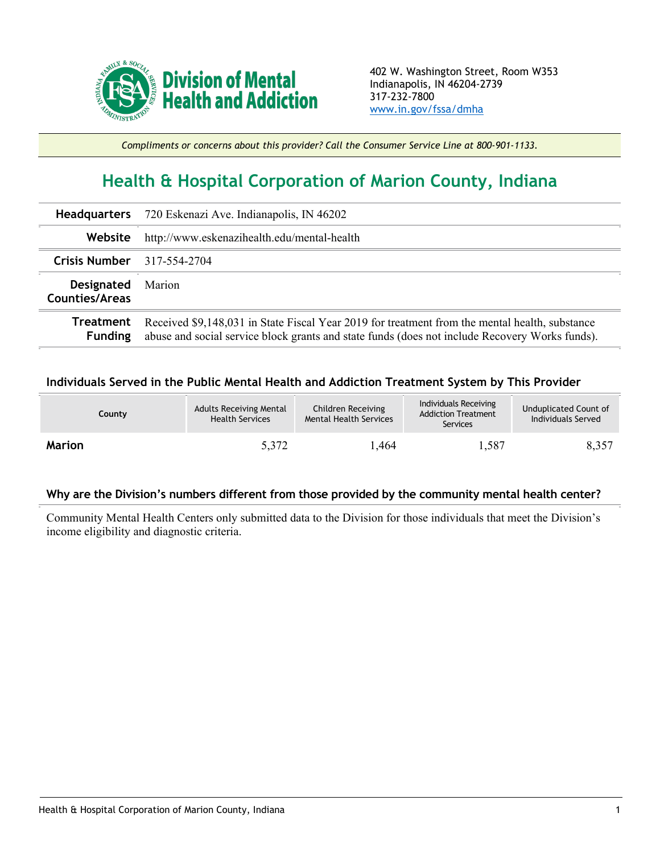

*Compliments or concerns about this provider? Call the Consumer Service Line at 800-901-1133.*

## **Health & Hospital Corporation of Marion County, Indiana**

|                                     | Headquarters 720 Eskenazi Ave. Indianapolis, IN 46202                                                                                                                                            |  |  |  |
|-------------------------------------|--------------------------------------------------------------------------------------------------------------------------------------------------------------------------------------------------|--|--|--|
| Website                             | http://www.eskenazihealth.edu/mental-health                                                                                                                                                      |  |  |  |
| <b>Crisis Number</b> 317-554-2704   |                                                                                                                                                                                                  |  |  |  |
| Designated<br><b>Counties/Areas</b> | Marion                                                                                                                                                                                           |  |  |  |
| Treatment<br><b>Funding</b>         | Received \$9,148,031 in State Fiscal Year 2019 for treatment from the mental health, substance<br>abuse and social service block grants and state funds (does not include Recovery Works funds). |  |  |  |

## **Individuals Served in the Public Mental Health and Addiction Treatment System by This Provider**

| County        | <b>Adults Receiving Mental</b><br><b>Health Services</b> | Children Receiving<br><b>Mental Health Services</b> | Individuals Receiving<br><b>Addiction Treatment</b><br>Services | Unduplicated Count of<br>Individuals Served |
|---------------|----------------------------------------------------------|-----------------------------------------------------|-----------------------------------------------------------------|---------------------------------------------|
| <b>Marion</b> | 5,372                                                    | .464                                                | 1,587                                                           | 8,357                                       |

## **Why are the Division's numbers different from those provided by the community mental health center?**

Community Mental Health Centers only submitted data to the Division for those individuals that meet the Division's income eligibility and diagnostic criteria.